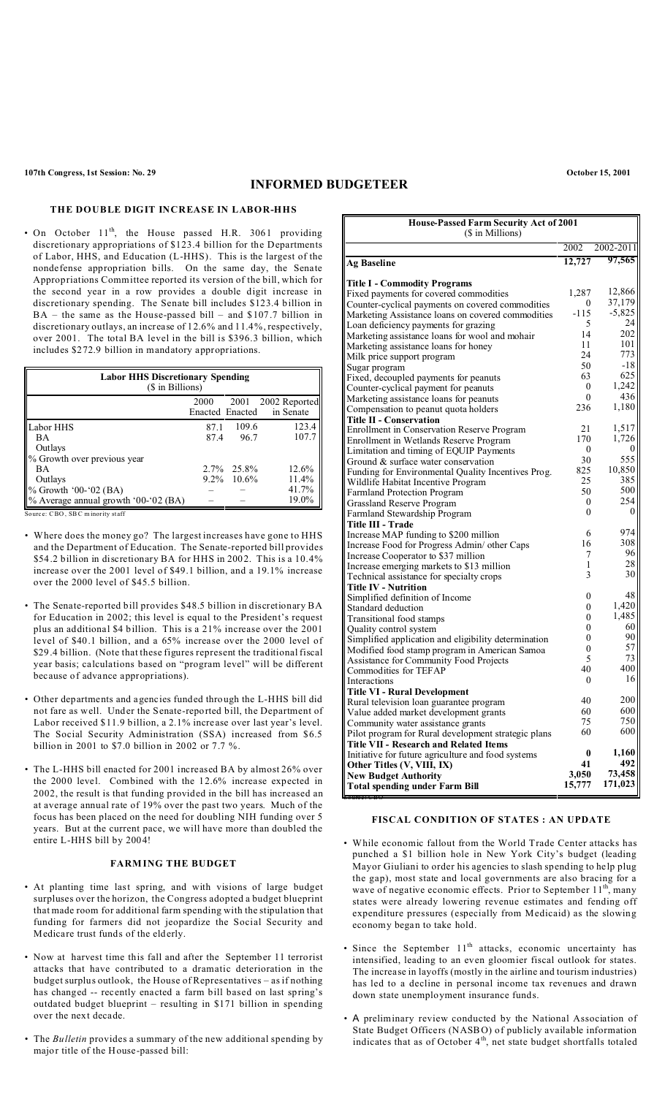## **INFORMED BUDGETEER**

### **THE DOUBLE DIGIT INCREASE IN LABOR-HHS**

• On October 11<sup>th</sup>, the House passed H.R. 3061 providing discretionary appropriations of \$123.4 billion for the Departments of Labor, HHS, and Education (L-HHS). This is the largest of the nondefense appropriation bills. On the same day, the Senate Appropriations Committee reported its version of the bill, which for the second year in a row provides a double digit increase in discretionary spending. The Senate bill includes \$123.4 billion in BA – the same as the House-passed bill – and \$107.7 billion in discretionary outlays, an increase of 12.6% and 11.4%, respectively, over 2001. The total BA level in the bill is \$396.3 billion, which includes \$272.9 billion in mandatory appropriations.

| <b>Labor HHS Discretionary Spending</b><br>(\$ in Billions) |                         |               |                                 |  |
|-------------------------------------------------------------|-------------------------|---------------|---------------------------------|--|
|                                                             | 2000<br>Enacted Enacted |               | 2001 2002 Reported<br>in Senate |  |
| Labor HHS                                                   | 87.1                    | 109.6         | 123.4                           |  |
| <b>BA</b>                                                   | 87.4                    | 96.7          | 107.7                           |  |
| Outlays                                                     |                         |               |                                 |  |
| % Growth over previous year                                 |                         |               |                                 |  |
| <b>BA</b>                                                   |                         | $2.7\%$ 25.8% | 12.6%                           |  |
| Outlays                                                     |                         | $9.2\%$ 10.6% | 11.4%                           |  |
| % Growth '00-'02 (BA)                                       |                         |               | 41.7%                           |  |
| % Average annual growth '00-'02 (BA)                        |                         |               | 19.0%                           |  |

Source: CBO, SBC minority staff

- Where does the money go? The largest increases have gone to HHS and the Department of Education. The Senate-reported bill provides \$54.2 billion in discretionary BA for HHS in 2002. This is a 10.4% increase over the 2001 level of \$49.1 billion, and a 19.1% increase over the 2000 level of \$45.5 billion.
- The Senate-reported bill provides \$48.5 billion in discretionary BA for Education in 2002; this level is equal to the President's request plus an additional \$4 billion. This is a 21% increase over the 2001 level of \$40.1 billion, and a 65% increase over the 2000 level of \$29.4 billion. (Note that these figures represent the traditional fiscal year basis; calculations based on "program level" will be different because of advance appropriations).
- Other departments and agencies funded through the L-HHS bill did not fare as well. Under the Senate-reported bill, the Department of Labor received \$11.9 billion, a 2.1% increase over last year's level. The Social Security Administration (SSA) increased from \$6.5 billion in 2001 to \$7.0 billion in 2002 or 7.7 %.
- The L-HHS bill enacted for 2001 increased BA by almost 26% over the 2000 level. Combined with the 12.6% increase expected in 2002, the result is that funding provided in the bill has increased an at average annual rate of 19% over the past two years. Much of the focus has been placed on the need for doubling NIH funding over 5 years. But at the current pace, we will have more than doubled the entire L-HHS bill by 2004!

## **FARMING THE BUDGET**

- At planting time last spring, and with visions of large budget surpluses over the horizon, the Congress adopted a budget blueprint that made room for additional farm spending with the stipulation that funding for farmers did not jeopardize the Social Security and Medicare trust funds of the elderly.
- Now at harvest time this fall and after the September 11 terrorist attacks that have contributed to a dramatic deterioration in the budget surplus outlook, the House of Representatives – as if nothing has changed -- recently enacted a farm bill based on last spring's outdated budget blueprint – resulting in \$171 billion in spending over the next decade.
- The *Bulletin* provides a summary of the new additional spending by major title of the House-passed bill:

| (\$ in Millions)<br>2002<br>2002-2011<br>97,565<br>12,727<br><b>Ag Baseline</b><br><b>Title I - Commodity Programs</b><br>12,866<br>1,287<br>Fixed payments for covered commodities<br>37,179<br>0<br>Counter-cyclical payments on covered commodities<br>$-5,825$<br>$-115$<br>Marketing Assistance loans on covered commodities<br>24<br>5<br>Loan deficiency payments for grazing<br>202<br>14<br>Marketing assistance loans for wool and mohair<br>101<br>11<br>Marketing assistance loans for honey<br>773<br>24<br>Milk price support program<br>$-18$<br>50<br>Sugar program<br>625<br>63<br>Fixed, decoupled payments for peanuts<br>1,242<br>$\boldsymbol{0}$<br>Counter-cyclical payment for peanuts<br>436<br>$\theta$<br>Marketing assistance loans for peanuts<br>1,180<br>236<br>Compensation to peanut quota holders<br><b>Title II - Conservation</b><br>1,517<br>21<br>Enrollment in Conservation Reserve Program<br>1,726<br>170<br>Enrollment in Wetlands Reserve Program<br>$\mathbf{0}$<br>$\bf{0}$<br>Limitation and timing of EQUIP Payments<br>555<br>30<br>Ground & surface water conservation<br>10,850<br>825<br>Funding for Environmental Quality Incentives Prog.<br>385<br>25<br>Wildlife Habitat Incentive Program<br>500<br>50<br><b>Farmland Protection Program</b><br>254<br>0<br>Grassland Reserve Program<br>$\theta$<br>$\theta$<br>Farmland Stewardship Program<br>Title III - Trade<br>974<br>6<br>Increase MAP funding to \$200 million<br>308<br>16<br>Increase Food for Progress Admin/ other Caps<br>96<br>7<br>Increase Cooperator to \$37 million<br>28<br>1<br>Increase emerging markets to \$13 million<br>30<br>3<br>Technical assistance for specialty crops<br><b>Title IV - Nutrition</b><br>48<br>0<br>Simplified definition of Income<br>1,420<br>0<br>Standard deduction<br>1,485<br>0<br>Transitional food stamps<br>60<br>0<br>Quality control system<br>90<br>0<br>Simplified application and eligibility determination<br>57<br>$\overline{0}$<br>Modified food stamp program in American Samoa<br>73<br>5<br>Assistance for Community Food Projects<br>400<br>40<br>Commodities for TEFAP<br>16<br>$\theta$<br>Interactions<br><b>Title VI - Rural Development</b><br>200<br>40<br>Rural television loan guarantee program<br>600<br>60<br>Value added market development grants<br>750<br>75<br>Community water assistance grants<br>600<br>60<br>Pilot program for Rural development strategic plans<br><b>Title VII - Research and Related Items</b><br>1,160<br>0<br>Initiative for future agriculture and food systems<br>492<br>41<br>Other Titles (V, VIII, IX)<br>3,050<br><b>New Budget Authority</b><br>15,777<br><b>Total spending under Farm Bill</b> |                                               |  |         |  |  |  |  |
|------------------------------------------------------------------------------------------------------------------------------------------------------------------------------------------------------------------------------------------------------------------------------------------------------------------------------------------------------------------------------------------------------------------------------------------------------------------------------------------------------------------------------------------------------------------------------------------------------------------------------------------------------------------------------------------------------------------------------------------------------------------------------------------------------------------------------------------------------------------------------------------------------------------------------------------------------------------------------------------------------------------------------------------------------------------------------------------------------------------------------------------------------------------------------------------------------------------------------------------------------------------------------------------------------------------------------------------------------------------------------------------------------------------------------------------------------------------------------------------------------------------------------------------------------------------------------------------------------------------------------------------------------------------------------------------------------------------------------------------------------------------------------------------------------------------------------------------------------------------------------------------------------------------------------------------------------------------------------------------------------------------------------------------------------------------------------------------------------------------------------------------------------------------------------------------------------------------------------------------------------------------------------------------------------------------------------------------------------------------------------------------------------------------------------------------------------------------------------------------------------------------------------------------------------------------------------------------------------------------------------------------------------------------------------------------------------------------------------|-----------------------------------------------|--|---------|--|--|--|--|
|                                                                                                                                                                                                                                                                                                                                                                                                                                                                                                                                                                                                                                                                                                                                                                                                                                                                                                                                                                                                                                                                                                                                                                                                                                                                                                                                                                                                                                                                                                                                                                                                                                                                                                                                                                                                                                                                                                                                                                                                                                                                                                                                                                                                                                                                                                                                                                                                                                                                                                                                                                                                                                                                                                                              | <b>House-Passed Farm Security Act of 2001</b> |  |         |  |  |  |  |
|                                                                                                                                                                                                                                                                                                                                                                                                                                                                                                                                                                                                                                                                                                                                                                                                                                                                                                                                                                                                                                                                                                                                                                                                                                                                                                                                                                                                                                                                                                                                                                                                                                                                                                                                                                                                                                                                                                                                                                                                                                                                                                                                                                                                                                                                                                                                                                                                                                                                                                                                                                                                                                                                                                                              |                                               |  |         |  |  |  |  |
|                                                                                                                                                                                                                                                                                                                                                                                                                                                                                                                                                                                                                                                                                                                                                                                                                                                                                                                                                                                                                                                                                                                                                                                                                                                                                                                                                                                                                                                                                                                                                                                                                                                                                                                                                                                                                                                                                                                                                                                                                                                                                                                                                                                                                                                                                                                                                                                                                                                                                                                                                                                                                                                                                                                              |                                               |  |         |  |  |  |  |
|                                                                                                                                                                                                                                                                                                                                                                                                                                                                                                                                                                                                                                                                                                                                                                                                                                                                                                                                                                                                                                                                                                                                                                                                                                                                                                                                                                                                                                                                                                                                                                                                                                                                                                                                                                                                                                                                                                                                                                                                                                                                                                                                                                                                                                                                                                                                                                                                                                                                                                                                                                                                                                                                                                                              |                                               |  |         |  |  |  |  |
|                                                                                                                                                                                                                                                                                                                                                                                                                                                                                                                                                                                                                                                                                                                                                                                                                                                                                                                                                                                                                                                                                                                                                                                                                                                                                                                                                                                                                                                                                                                                                                                                                                                                                                                                                                                                                                                                                                                                                                                                                                                                                                                                                                                                                                                                                                                                                                                                                                                                                                                                                                                                                                                                                                                              |                                               |  |         |  |  |  |  |
|                                                                                                                                                                                                                                                                                                                                                                                                                                                                                                                                                                                                                                                                                                                                                                                                                                                                                                                                                                                                                                                                                                                                                                                                                                                                                                                                                                                                                                                                                                                                                                                                                                                                                                                                                                                                                                                                                                                                                                                                                                                                                                                                                                                                                                                                                                                                                                                                                                                                                                                                                                                                                                                                                                                              |                                               |  |         |  |  |  |  |
|                                                                                                                                                                                                                                                                                                                                                                                                                                                                                                                                                                                                                                                                                                                                                                                                                                                                                                                                                                                                                                                                                                                                                                                                                                                                                                                                                                                                                                                                                                                                                                                                                                                                                                                                                                                                                                                                                                                                                                                                                                                                                                                                                                                                                                                                                                                                                                                                                                                                                                                                                                                                                                                                                                                              |                                               |  |         |  |  |  |  |
|                                                                                                                                                                                                                                                                                                                                                                                                                                                                                                                                                                                                                                                                                                                                                                                                                                                                                                                                                                                                                                                                                                                                                                                                                                                                                                                                                                                                                                                                                                                                                                                                                                                                                                                                                                                                                                                                                                                                                                                                                                                                                                                                                                                                                                                                                                                                                                                                                                                                                                                                                                                                                                                                                                                              |                                               |  |         |  |  |  |  |
|                                                                                                                                                                                                                                                                                                                                                                                                                                                                                                                                                                                                                                                                                                                                                                                                                                                                                                                                                                                                                                                                                                                                                                                                                                                                                                                                                                                                                                                                                                                                                                                                                                                                                                                                                                                                                                                                                                                                                                                                                                                                                                                                                                                                                                                                                                                                                                                                                                                                                                                                                                                                                                                                                                                              |                                               |  |         |  |  |  |  |
|                                                                                                                                                                                                                                                                                                                                                                                                                                                                                                                                                                                                                                                                                                                                                                                                                                                                                                                                                                                                                                                                                                                                                                                                                                                                                                                                                                                                                                                                                                                                                                                                                                                                                                                                                                                                                                                                                                                                                                                                                                                                                                                                                                                                                                                                                                                                                                                                                                                                                                                                                                                                                                                                                                                              |                                               |  |         |  |  |  |  |
|                                                                                                                                                                                                                                                                                                                                                                                                                                                                                                                                                                                                                                                                                                                                                                                                                                                                                                                                                                                                                                                                                                                                                                                                                                                                                                                                                                                                                                                                                                                                                                                                                                                                                                                                                                                                                                                                                                                                                                                                                                                                                                                                                                                                                                                                                                                                                                                                                                                                                                                                                                                                                                                                                                                              |                                               |  |         |  |  |  |  |
|                                                                                                                                                                                                                                                                                                                                                                                                                                                                                                                                                                                                                                                                                                                                                                                                                                                                                                                                                                                                                                                                                                                                                                                                                                                                                                                                                                                                                                                                                                                                                                                                                                                                                                                                                                                                                                                                                                                                                                                                                                                                                                                                                                                                                                                                                                                                                                                                                                                                                                                                                                                                                                                                                                                              |                                               |  |         |  |  |  |  |
|                                                                                                                                                                                                                                                                                                                                                                                                                                                                                                                                                                                                                                                                                                                                                                                                                                                                                                                                                                                                                                                                                                                                                                                                                                                                                                                                                                                                                                                                                                                                                                                                                                                                                                                                                                                                                                                                                                                                                                                                                                                                                                                                                                                                                                                                                                                                                                                                                                                                                                                                                                                                                                                                                                                              |                                               |  |         |  |  |  |  |
|                                                                                                                                                                                                                                                                                                                                                                                                                                                                                                                                                                                                                                                                                                                                                                                                                                                                                                                                                                                                                                                                                                                                                                                                                                                                                                                                                                                                                                                                                                                                                                                                                                                                                                                                                                                                                                                                                                                                                                                                                                                                                                                                                                                                                                                                                                                                                                                                                                                                                                                                                                                                                                                                                                                              |                                               |  |         |  |  |  |  |
|                                                                                                                                                                                                                                                                                                                                                                                                                                                                                                                                                                                                                                                                                                                                                                                                                                                                                                                                                                                                                                                                                                                                                                                                                                                                                                                                                                                                                                                                                                                                                                                                                                                                                                                                                                                                                                                                                                                                                                                                                                                                                                                                                                                                                                                                                                                                                                                                                                                                                                                                                                                                                                                                                                                              |                                               |  |         |  |  |  |  |
|                                                                                                                                                                                                                                                                                                                                                                                                                                                                                                                                                                                                                                                                                                                                                                                                                                                                                                                                                                                                                                                                                                                                                                                                                                                                                                                                                                                                                                                                                                                                                                                                                                                                                                                                                                                                                                                                                                                                                                                                                                                                                                                                                                                                                                                                                                                                                                                                                                                                                                                                                                                                                                                                                                                              |                                               |  |         |  |  |  |  |
|                                                                                                                                                                                                                                                                                                                                                                                                                                                                                                                                                                                                                                                                                                                                                                                                                                                                                                                                                                                                                                                                                                                                                                                                                                                                                                                                                                                                                                                                                                                                                                                                                                                                                                                                                                                                                                                                                                                                                                                                                                                                                                                                                                                                                                                                                                                                                                                                                                                                                                                                                                                                                                                                                                                              |                                               |  |         |  |  |  |  |
|                                                                                                                                                                                                                                                                                                                                                                                                                                                                                                                                                                                                                                                                                                                                                                                                                                                                                                                                                                                                                                                                                                                                                                                                                                                                                                                                                                                                                                                                                                                                                                                                                                                                                                                                                                                                                                                                                                                                                                                                                                                                                                                                                                                                                                                                                                                                                                                                                                                                                                                                                                                                                                                                                                                              |                                               |  |         |  |  |  |  |
|                                                                                                                                                                                                                                                                                                                                                                                                                                                                                                                                                                                                                                                                                                                                                                                                                                                                                                                                                                                                                                                                                                                                                                                                                                                                                                                                                                                                                                                                                                                                                                                                                                                                                                                                                                                                                                                                                                                                                                                                                                                                                                                                                                                                                                                                                                                                                                                                                                                                                                                                                                                                                                                                                                                              |                                               |  |         |  |  |  |  |
|                                                                                                                                                                                                                                                                                                                                                                                                                                                                                                                                                                                                                                                                                                                                                                                                                                                                                                                                                                                                                                                                                                                                                                                                                                                                                                                                                                                                                                                                                                                                                                                                                                                                                                                                                                                                                                                                                                                                                                                                                                                                                                                                                                                                                                                                                                                                                                                                                                                                                                                                                                                                                                                                                                                              |                                               |  |         |  |  |  |  |
|                                                                                                                                                                                                                                                                                                                                                                                                                                                                                                                                                                                                                                                                                                                                                                                                                                                                                                                                                                                                                                                                                                                                                                                                                                                                                                                                                                                                                                                                                                                                                                                                                                                                                                                                                                                                                                                                                                                                                                                                                                                                                                                                                                                                                                                                                                                                                                                                                                                                                                                                                                                                                                                                                                                              |                                               |  |         |  |  |  |  |
|                                                                                                                                                                                                                                                                                                                                                                                                                                                                                                                                                                                                                                                                                                                                                                                                                                                                                                                                                                                                                                                                                                                                                                                                                                                                                                                                                                                                                                                                                                                                                                                                                                                                                                                                                                                                                                                                                                                                                                                                                                                                                                                                                                                                                                                                                                                                                                                                                                                                                                                                                                                                                                                                                                                              |                                               |  |         |  |  |  |  |
|                                                                                                                                                                                                                                                                                                                                                                                                                                                                                                                                                                                                                                                                                                                                                                                                                                                                                                                                                                                                                                                                                                                                                                                                                                                                                                                                                                                                                                                                                                                                                                                                                                                                                                                                                                                                                                                                                                                                                                                                                                                                                                                                                                                                                                                                                                                                                                                                                                                                                                                                                                                                                                                                                                                              |                                               |  |         |  |  |  |  |
|                                                                                                                                                                                                                                                                                                                                                                                                                                                                                                                                                                                                                                                                                                                                                                                                                                                                                                                                                                                                                                                                                                                                                                                                                                                                                                                                                                                                                                                                                                                                                                                                                                                                                                                                                                                                                                                                                                                                                                                                                                                                                                                                                                                                                                                                                                                                                                                                                                                                                                                                                                                                                                                                                                                              |                                               |  |         |  |  |  |  |
|                                                                                                                                                                                                                                                                                                                                                                                                                                                                                                                                                                                                                                                                                                                                                                                                                                                                                                                                                                                                                                                                                                                                                                                                                                                                                                                                                                                                                                                                                                                                                                                                                                                                                                                                                                                                                                                                                                                                                                                                                                                                                                                                                                                                                                                                                                                                                                                                                                                                                                                                                                                                                                                                                                                              |                                               |  |         |  |  |  |  |
|                                                                                                                                                                                                                                                                                                                                                                                                                                                                                                                                                                                                                                                                                                                                                                                                                                                                                                                                                                                                                                                                                                                                                                                                                                                                                                                                                                                                                                                                                                                                                                                                                                                                                                                                                                                                                                                                                                                                                                                                                                                                                                                                                                                                                                                                                                                                                                                                                                                                                                                                                                                                                                                                                                                              |                                               |  |         |  |  |  |  |
|                                                                                                                                                                                                                                                                                                                                                                                                                                                                                                                                                                                                                                                                                                                                                                                                                                                                                                                                                                                                                                                                                                                                                                                                                                                                                                                                                                                                                                                                                                                                                                                                                                                                                                                                                                                                                                                                                                                                                                                                                                                                                                                                                                                                                                                                                                                                                                                                                                                                                                                                                                                                                                                                                                                              |                                               |  |         |  |  |  |  |
|                                                                                                                                                                                                                                                                                                                                                                                                                                                                                                                                                                                                                                                                                                                                                                                                                                                                                                                                                                                                                                                                                                                                                                                                                                                                                                                                                                                                                                                                                                                                                                                                                                                                                                                                                                                                                                                                                                                                                                                                                                                                                                                                                                                                                                                                                                                                                                                                                                                                                                                                                                                                                                                                                                                              |                                               |  |         |  |  |  |  |
|                                                                                                                                                                                                                                                                                                                                                                                                                                                                                                                                                                                                                                                                                                                                                                                                                                                                                                                                                                                                                                                                                                                                                                                                                                                                                                                                                                                                                                                                                                                                                                                                                                                                                                                                                                                                                                                                                                                                                                                                                                                                                                                                                                                                                                                                                                                                                                                                                                                                                                                                                                                                                                                                                                                              |                                               |  |         |  |  |  |  |
|                                                                                                                                                                                                                                                                                                                                                                                                                                                                                                                                                                                                                                                                                                                                                                                                                                                                                                                                                                                                                                                                                                                                                                                                                                                                                                                                                                                                                                                                                                                                                                                                                                                                                                                                                                                                                                                                                                                                                                                                                                                                                                                                                                                                                                                                                                                                                                                                                                                                                                                                                                                                                                                                                                                              |                                               |  |         |  |  |  |  |
|                                                                                                                                                                                                                                                                                                                                                                                                                                                                                                                                                                                                                                                                                                                                                                                                                                                                                                                                                                                                                                                                                                                                                                                                                                                                                                                                                                                                                                                                                                                                                                                                                                                                                                                                                                                                                                                                                                                                                                                                                                                                                                                                                                                                                                                                                                                                                                                                                                                                                                                                                                                                                                                                                                                              |                                               |  |         |  |  |  |  |
|                                                                                                                                                                                                                                                                                                                                                                                                                                                                                                                                                                                                                                                                                                                                                                                                                                                                                                                                                                                                                                                                                                                                                                                                                                                                                                                                                                                                                                                                                                                                                                                                                                                                                                                                                                                                                                                                                                                                                                                                                                                                                                                                                                                                                                                                                                                                                                                                                                                                                                                                                                                                                                                                                                                              |                                               |  |         |  |  |  |  |
|                                                                                                                                                                                                                                                                                                                                                                                                                                                                                                                                                                                                                                                                                                                                                                                                                                                                                                                                                                                                                                                                                                                                                                                                                                                                                                                                                                                                                                                                                                                                                                                                                                                                                                                                                                                                                                                                                                                                                                                                                                                                                                                                                                                                                                                                                                                                                                                                                                                                                                                                                                                                                                                                                                                              |                                               |  |         |  |  |  |  |
|                                                                                                                                                                                                                                                                                                                                                                                                                                                                                                                                                                                                                                                                                                                                                                                                                                                                                                                                                                                                                                                                                                                                                                                                                                                                                                                                                                                                                                                                                                                                                                                                                                                                                                                                                                                                                                                                                                                                                                                                                                                                                                                                                                                                                                                                                                                                                                                                                                                                                                                                                                                                                                                                                                                              |                                               |  |         |  |  |  |  |
|                                                                                                                                                                                                                                                                                                                                                                                                                                                                                                                                                                                                                                                                                                                                                                                                                                                                                                                                                                                                                                                                                                                                                                                                                                                                                                                                                                                                                                                                                                                                                                                                                                                                                                                                                                                                                                                                                                                                                                                                                                                                                                                                                                                                                                                                                                                                                                                                                                                                                                                                                                                                                                                                                                                              |                                               |  |         |  |  |  |  |
|                                                                                                                                                                                                                                                                                                                                                                                                                                                                                                                                                                                                                                                                                                                                                                                                                                                                                                                                                                                                                                                                                                                                                                                                                                                                                                                                                                                                                                                                                                                                                                                                                                                                                                                                                                                                                                                                                                                                                                                                                                                                                                                                                                                                                                                                                                                                                                                                                                                                                                                                                                                                                                                                                                                              |                                               |  |         |  |  |  |  |
|                                                                                                                                                                                                                                                                                                                                                                                                                                                                                                                                                                                                                                                                                                                                                                                                                                                                                                                                                                                                                                                                                                                                                                                                                                                                                                                                                                                                                                                                                                                                                                                                                                                                                                                                                                                                                                                                                                                                                                                                                                                                                                                                                                                                                                                                                                                                                                                                                                                                                                                                                                                                                                                                                                                              |                                               |  |         |  |  |  |  |
|                                                                                                                                                                                                                                                                                                                                                                                                                                                                                                                                                                                                                                                                                                                                                                                                                                                                                                                                                                                                                                                                                                                                                                                                                                                                                                                                                                                                                                                                                                                                                                                                                                                                                                                                                                                                                                                                                                                                                                                                                                                                                                                                                                                                                                                                                                                                                                                                                                                                                                                                                                                                                                                                                                                              |                                               |  |         |  |  |  |  |
|                                                                                                                                                                                                                                                                                                                                                                                                                                                                                                                                                                                                                                                                                                                                                                                                                                                                                                                                                                                                                                                                                                                                                                                                                                                                                                                                                                                                                                                                                                                                                                                                                                                                                                                                                                                                                                                                                                                                                                                                                                                                                                                                                                                                                                                                                                                                                                                                                                                                                                                                                                                                                                                                                                                              |                                               |  |         |  |  |  |  |
|                                                                                                                                                                                                                                                                                                                                                                                                                                                                                                                                                                                                                                                                                                                                                                                                                                                                                                                                                                                                                                                                                                                                                                                                                                                                                                                                                                                                                                                                                                                                                                                                                                                                                                                                                                                                                                                                                                                                                                                                                                                                                                                                                                                                                                                                                                                                                                                                                                                                                                                                                                                                                                                                                                                              |                                               |  |         |  |  |  |  |
|                                                                                                                                                                                                                                                                                                                                                                                                                                                                                                                                                                                                                                                                                                                                                                                                                                                                                                                                                                                                                                                                                                                                                                                                                                                                                                                                                                                                                                                                                                                                                                                                                                                                                                                                                                                                                                                                                                                                                                                                                                                                                                                                                                                                                                                                                                                                                                                                                                                                                                                                                                                                                                                                                                                              |                                               |  |         |  |  |  |  |
|                                                                                                                                                                                                                                                                                                                                                                                                                                                                                                                                                                                                                                                                                                                                                                                                                                                                                                                                                                                                                                                                                                                                                                                                                                                                                                                                                                                                                                                                                                                                                                                                                                                                                                                                                                                                                                                                                                                                                                                                                                                                                                                                                                                                                                                                                                                                                                                                                                                                                                                                                                                                                                                                                                                              |                                               |  |         |  |  |  |  |
|                                                                                                                                                                                                                                                                                                                                                                                                                                                                                                                                                                                                                                                                                                                                                                                                                                                                                                                                                                                                                                                                                                                                                                                                                                                                                                                                                                                                                                                                                                                                                                                                                                                                                                                                                                                                                                                                                                                                                                                                                                                                                                                                                                                                                                                                                                                                                                                                                                                                                                                                                                                                                                                                                                                              |                                               |  |         |  |  |  |  |
|                                                                                                                                                                                                                                                                                                                                                                                                                                                                                                                                                                                                                                                                                                                                                                                                                                                                                                                                                                                                                                                                                                                                                                                                                                                                                                                                                                                                                                                                                                                                                                                                                                                                                                                                                                                                                                                                                                                                                                                                                                                                                                                                                                                                                                                                                                                                                                                                                                                                                                                                                                                                                                                                                                                              |                                               |  |         |  |  |  |  |
|                                                                                                                                                                                                                                                                                                                                                                                                                                                                                                                                                                                                                                                                                                                                                                                                                                                                                                                                                                                                                                                                                                                                                                                                                                                                                                                                                                                                                                                                                                                                                                                                                                                                                                                                                                                                                                                                                                                                                                                                                                                                                                                                                                                                                                                                                                                                                                                                                                                                                                                                                                                                                                                                                                                              |                                               |  |         |  |  |  |  |
|                                                                                                                                                                                                                                                                                                                                                                                                                                                                                                                                                                                                                                                                                                                                                                                                                                                                                                                                                                                                                                                                                                                                                                                                                                                                                                                                                                                                                                                                                                                                                                                                                                                                                                                                                                                                                                                                                                                                                                                                                                                                                                                                                                                                                                                                                                                                                                                                                                                                                                                                                                                                                                                                                                                              |                                               |  |         |  |  |  |  |
|                                                                                                                                                                                                                                                                                                                                                                                                                                                                                                                                                                                                                                                                                                                                                                                                                                                                                                                                                                                                                                                                                                                                                                                                                                                                                                                                                                                                                                                                                                                                                                                                                                                                                                                                                                                                                                                                                                                                                                                                                                                                                                                                                                                                                                                                                                                                                                                                                                                                                                                                                                                                                                                                                                                              |                                               |  |         |  |  |  |  |
|                                                                                                                                                                                                                                                                                                                                                                                                                                                                                                                                                                                                                                                                                                                                                                                                                                                                                                                                                                                                                                                                                                                                                                                                                                                                                                                                                                                                                                                                                                                                                                                                                                                                                                                                                                                                                                                                                                                                                                                                                                                                                                                                                                                                                                                                                                                                                                                                                                                                                                                                                                                                                                                                                                                              |                                               |  |         |  |  |  |  |
|                                                                                                                                                                                                                                                                                                                                                                                                                                                                                                                                                                                                                                                                                                                                                                                                                                                                                                                                                                                                                                                                                                                                                                                                                                                                                                                                                                                                                                                                                                                                                                                                                                                                                                                                                                                                                                                                                                                                                                                                                                                                                                                                                                                                                                                                                                                                                                                                                                                                                                                                                                                                                                                                                                                              |                                               |  |         |  |  |  |  |
|                                                                                                                                                                                                                                                                                                                                                                                                                                                                                                                                                                                                                                                                                                                                                                                                                                                                                                                                                                                                                                                                                                                                                                                                                                                                                                                                                                                                                                                                                                                                                                                                                                                                                                                                                                                                                                                                                                                                                                                                                                                                                                                                                                                                                                                                                                                                                                                                                                                                                                                                                                                                                                                                                                                              |                                               |  |         |  |  |  |  |
|                                                                                                                                                                                                                                                                                                                                                                                                                                                                                                                                                                                                                                                                                                                                                                                                                                                                                                                                                                                                                                                                                                                                                                                                                                                                                                                                                                                                                                                                                                                                                                                                                                                                                                                                                                                                                                                                                                                                                                                                                                                                                                                                                                                                                                                                                                                                                                                                                                                                                                                                                                                                                                                                                                                              |                                               |  | 73,458  |  |  |  |  |
|                                                                                                                                                                                                                                                                                                                                                                                                                                                                                                                                                                                                                                                                                                                                                                                                                                                                                                                                                                                                                                                                                                                                                                                                                                                                                                                                                                                                                                                                                                                                                                                                                                                                                                                                                                                                                                                                                                                                                                                                                                                                                                                                                                                                                                                                                                                                                                                                                                                                                                                                                                                                                                                                                                                              |                                               |  | 171,023 |  |  |  |  |

#### **FISCAL CONDITION OF STATES : AN UPDATE**

Source: CBO

- While economic fallout from the World Trade Center attacks has punched a \$1 billion hole in New York City's budget (leading Mayor Giuliani to order his agencies to slash spending to help plug the gap), most state and local governments are also bracing for a wave of negative economic effects. Prior to September  $11<sup>th</sup>$ , many states were already lowering revenue estimates and fending off expenditure pressures (especially from Medicaid) as the slowing economy began to take hold.
- Since the September 11<sup>th</sup> attacks, economic uncertainty has intensified, leading to an even gloomier fiscal outlook for states. The increase in layoffs (mostly in the airline and tourism industries) has led to a decline in personal income tax revenues and drawn down state unemployment insurance funds.
- A preliminary review conducted by the National Association of State Budget Officers (NASBO) of publicly available information indicates that as of October 4<sup>th</sup>, net state budget shortfalls totaled